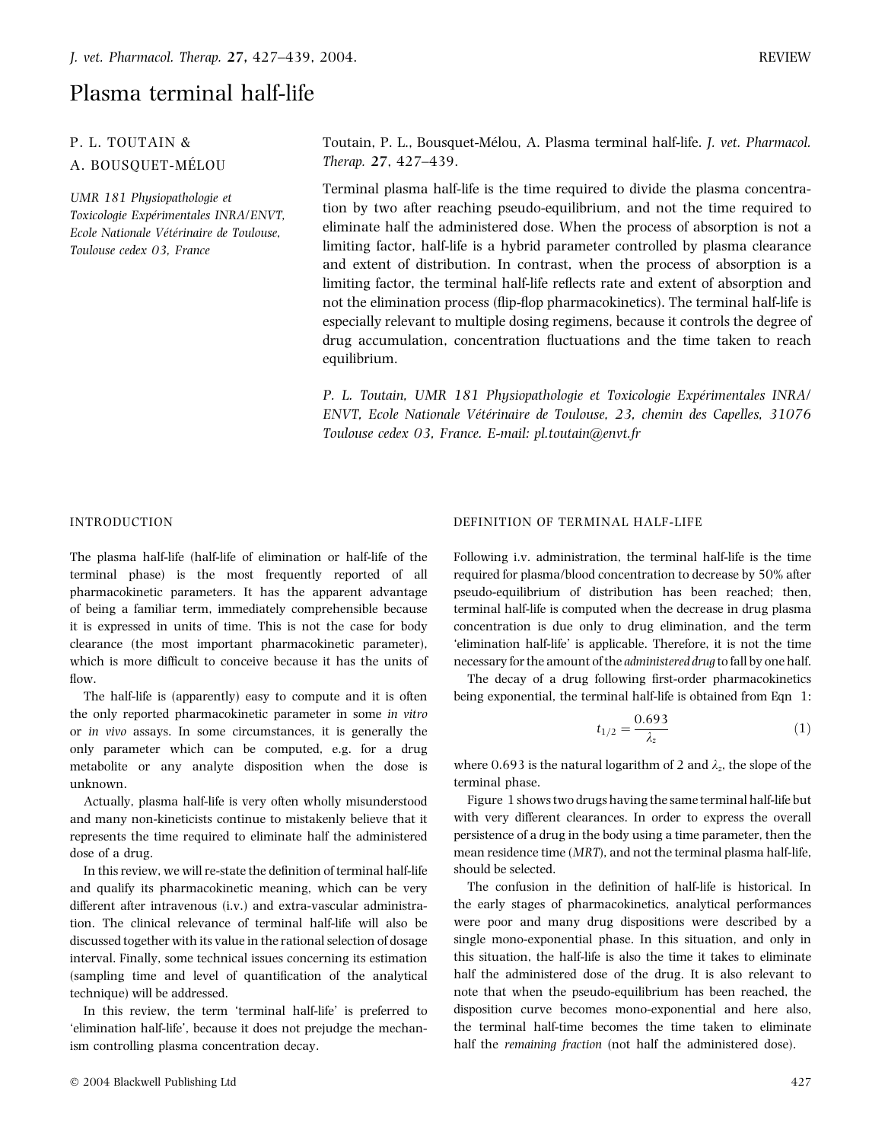# Plasma terminal half-life

# P. L. TOUTAIN &

# A. BOUSQUET-MÉLOU

UMR 181 Physiopathologie et Toxicologie Expérimentales INRA/ENVT, Ecole Nationale Vétérinaire de Toulouse, Toulouse cedex 03, France

Toutain, P. L., Bousquet-Mélou, A. Plasma terminal half-life. J. vet. Pharmacol. Therap. 27, 427–439.

Terminal plasma half-life is the time required to divide the plasma concentration by two after reaching pseudo-equilibrium, and not the time required to eliminate half the administered dose. When the process of absorption is not a limiting factor, half-life is a hybrid parameter controlled by plasma clearance and extent of distribution. In contrast, when the process of absorption is a limiting factor, the terminal half-life reflects rate and extent of absorption and not the elimination process (flip-flop pharmacokinetics). The terminal half-life is especially relevant to multiple dosing regimens, because it controls the degree of drug accumulation, concentration fluctuations and the time taken to reach equilibrium.

P. L. Toutain, UMR 181 Physiopathologie et Toxicologie Expérimentales INRA/ ENVT, Ecole Nationale Vétérinaire de Toulouse, 23, chemin des Capelles, 31076 Toulouse cedex 03, France. E-mail: pl.toutain@envt.fr

#### INTRODUCTION

The plasma half-life (half-life of elimination or half-life of the terminal phase) is the most frequently reported of all pharmacokinetic parameters. It has the apparent advantage of being a familiar term, immediately comprehensible because it is expressed in units of time. This is not the case for body clearance (the most important pharmacokinetic parameter), which is more difficult to conceive because it has the units of flow.

The half-life is (apparently) easy to compute and it is often the only reported pharmacokinetic parameter in some in vitro or in vivo assays. In some circumstances, it is generally the only parameter which can be computed, e.g. for a drug metabolite or any analyte disposition when the dose is unknown.

Actually, plasma half-life is very often wholly misunderstood and many non-kineticists continue to mistakenly believe that it represents the time required to eliminate half the administered dose of a drug.

In this review, we will re-state the definition of terminal half-life and qualify its pharmacokinetic meaning, which can be very different after intravenous (i.v.) and extra-vascular administration. The clinical relevance of terminal half-life will also be discussed together with its value in the rational selection of dosage interval. Finally, some technical issues concerning its estimation (sampling time and level of quantification of the analytical technique) will be addressed.

In this review, the term 'terminal half-life' is preferred to 'elimination half-life', because it does not prejudge the mechanism controlling plasma concentration decay.

#### DEFINITION OF TERMINAL HALF-LIFE

Following i.v. administration, the terminal half-life is the time required for plasma/blood concentration to decrease by 50% after pseudo-equilibrium of distribution has been reached; then, terminal half-life is computed when the decrease in drug plasma concentration is due only to drug elimination, and the term 'elimination half-life' is applicable. Therefore, it is not the time necessary for the amount of the administered drug to fall by one half.

The decay of a drug following first-order pharmacokinetics being exponential, the terminal half-life is obtained from Eqn 1:

$$
t_{1/2} = \frac{0.693}{\lambda_z} \tag{1}
$$

where 0.693 is the natural logarithm of 2 and  $\lambda_z$ , the slope of the terminal phase.

Figure 1 shows two drugs having the same terminal half-life but with very different clearances. In order to express the overall persistence of a drug in the body using a time parameter, then the mean residence time (MRT), and not the terminal plasma half-life, should be selected.

The confusion in the definition of half-life is historical. In the early stages of pharmacokinetics, analytical performances were poor and many drug dispositions were described by a single mono-exponential phase. In this situation, and only in this situation, the half-life is also the time it takes to eliminate half the administered dose of the drug. It is also relevant to note that when the pseudo-equilibrium has been reached, the disposition curve becomes mono-exponential and here also, the terminal half-time becomes the time taken to eliminate half the remaining fraction (not half the administered dose).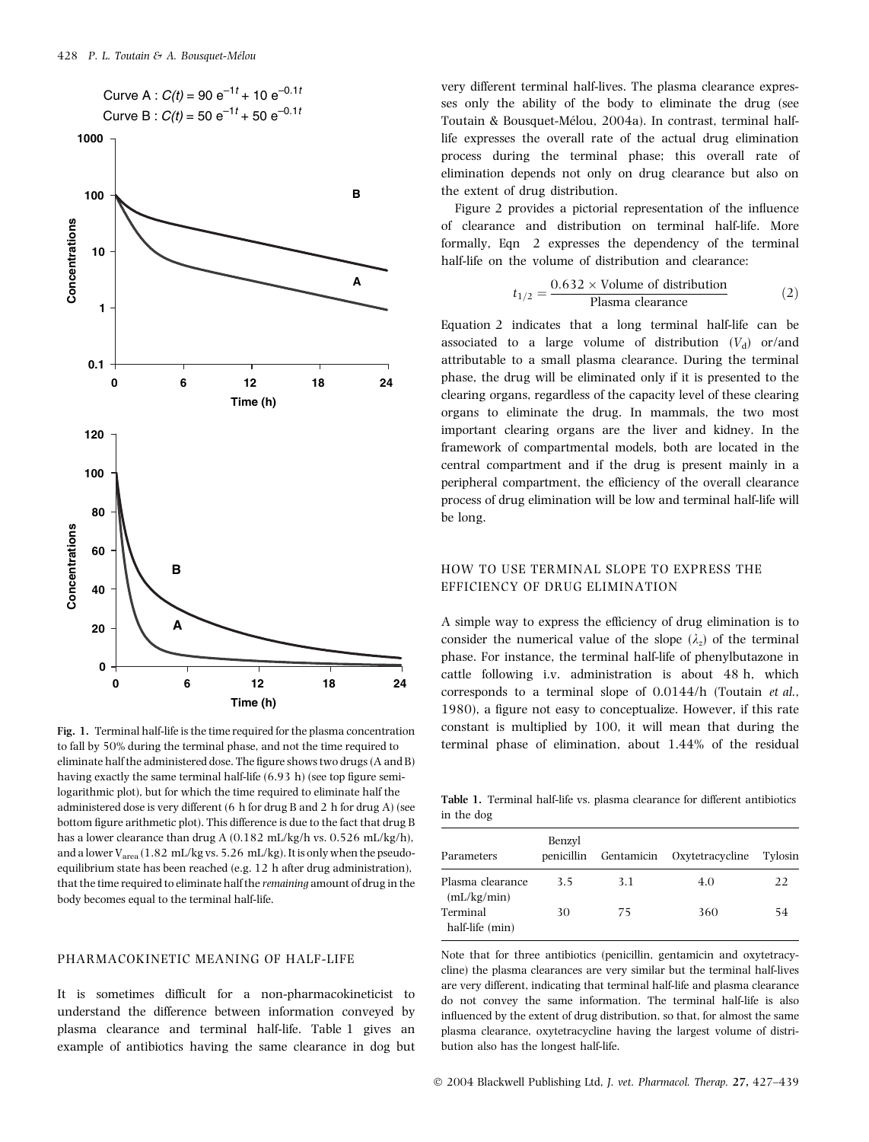

Fig. 1. Terminal half-life is the time required for the plasma concentration to fall by 50% during the terminal phase, and not the time required to eliminate half the administered dose. The figure shows two drugs (A and B) having exactly the same terminal half-life (6.93 h) (see top figure semilogarithmic plot), but for which the time required to eliminate half the administered dose is very different (6 h for drug B and 2 h for drug A) (see bottom figure arithmetic plot). This difference is due to the fact that drug B has a lower clearance than drug A (0.182 mL/kg/h vs. 0.526 mL/kg/h), and a lower  $V_{area}$  (1.82 mL/kg vs. 5.26 mL/kg). It is only when the pseudoequilibrium state has been reached (e.g. 12 h after drug administration), that the time required to eliminate half the remaining amount of drug in the body becomes equal to the terminal half-life.

#### PHARMACOKINETIC MEANING OF HALF-LIFE

It is sometimes difficult for a non-pharmacokineticist to understand the difference between information conveyed by plasma clearance and terminal half-life. Table 1 gives an example of antibiotics having the same clearance in dog but

very different terminal half-lives. The plasma clearance expresses only the ability of the body to eliminate the drug (see Toutain & Bousquet-Mélou, 2004a). In contrast, terminal halflife expresses the overall rate of the actual drug elimination process during the terminal phase; this overall rate of elimination depends not only on drug clearance but also on the extent of drug distribution.

Figure 2 provides a pictorial representation of the influence of clearance and distribution on terminal half-life. More formally. Eqn 2 expresses the dependency of the terminal half-life on the volume of distribution and clearance:

$$
t_{1/2} = \frac{0.632 \times \text{Volume of distribution}}{\text{Plasma clearance}} \tag{2}
$$

Equation 2 indicates that a long terminal half-life can be associated to a large volume of distribution  $(V_d)$  or/and attributable to a small plasma clearance. During the terminal phase, the drug will be eliminated only if it is presented to the clearing organs, regardless of the capacity level of these clearing organs to eliminate the drug. In mammals, the two most important clearing organs are the liver and kidney. In the framework of compartmental models, both are located in the central compartment and if the drug is present mainly in a peripheral compartment, the efficiency of the overall clearance process of drug elimination will be low and terminal half-life will be long.

### HOW TO USE TERMINAL SLOPE TO EXPRESS THE EFFICIENCY OF DRUG ELIMINATION

A simple way to express the efficiency of drug elimination is to consider the numerical value of the slope  $(\lambda_z)$  of the terminal phase. For instance, the terminal half-life of phenylbutazone in cattle following i.v. administration is about 48 h, which corresponds to a terminal slope of 0.0144/h (Toutain et al., 1980), a figure not easy to conceptualize. However, if this rate constant is multiplied by 100, it will mean that during the terminal phase of elimination, about 1.44% of the residual

Table 1. Terminal half-life vs. plasma clearance for different antibiotics in the dog

| Parameters                      | Benzyl<br>penicillin | Gentamicin | Oxytetracycline | Tylosin |
|---------------------------------|----------------------|------------|-----------------|---------|
| Plasma clearance<br>(mL/kg/min) | 3.5                  | 3.1        | 4.0             | 22      |
| Terminal<br>half-life (min)     | 30                   | 75         | 360             | 54      |

Note that for three antibiotics (penicillin, gentamicin and oxytetracycline) the plasma clearances are very similar but the terminal half-lives are very different, indicating that terminal half-life and plasma clearance do not convey the same information. The terminal half-life is also influenced by the extent of drug distribution, so that, for almost the same plasma clearance, oxytetracycline having the largest volume of distribution also has the longest half-life.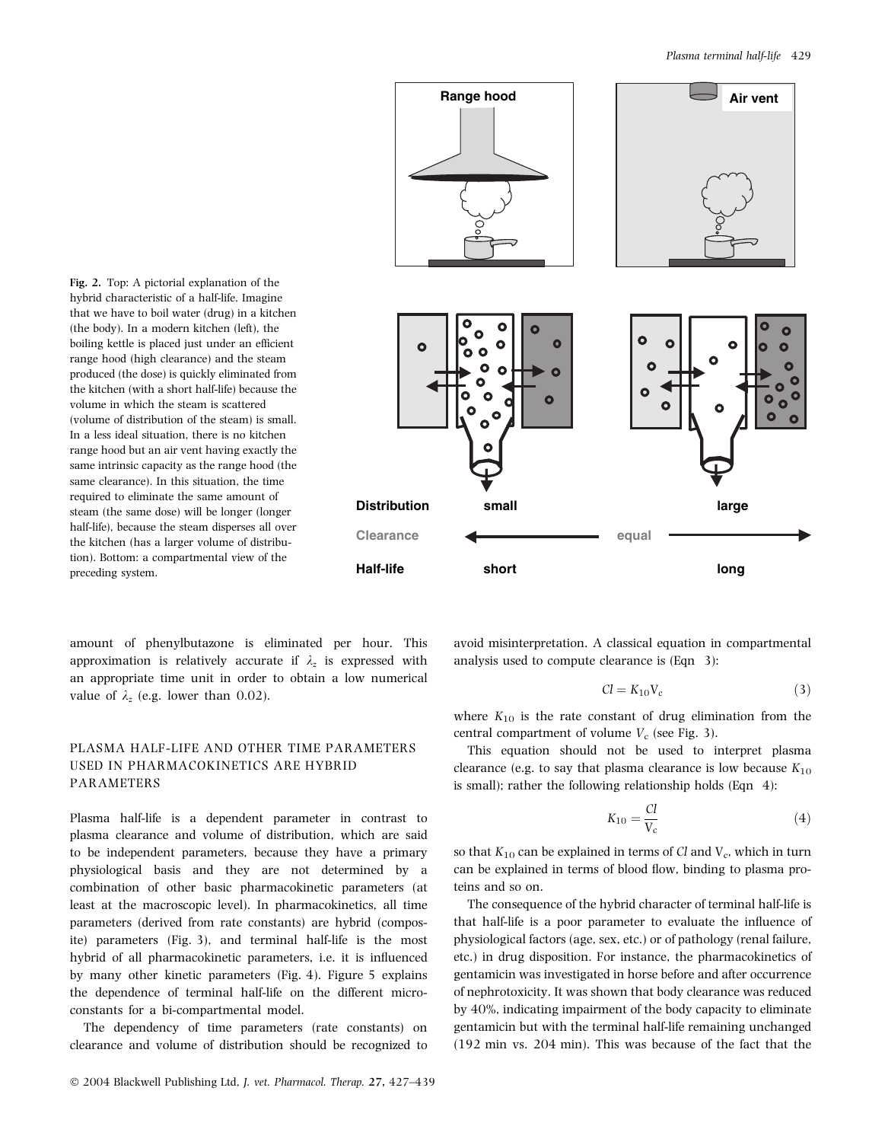

Fig. 2. Top: A pictorial explanation of the hybrid characteristic of a half-life. Imagine that we have to boil water (drug) in a kitchen (the body). In a modern kitchen (left), the boiling kettle is placed just under an efficient range hood (high clearance) and the steam produced (the dose) is quickly eliminated from the kitchen (with a short half-life) because the volume in which the steam is scattered (volume of distribution of the steam) is small. In a less ideal situation, there is no kitchen range hood but an air vent having exactly the same intrinsic capacity as the range hood (the same clearance). In this situation, the time required to eliminate the same amount of steam (the same dose) will be longer (longer half-life), because the steam disperses all over the kitchen (has a larger volume of distribution). Bottom: a compartmental view of the preceding system.

amount of phenylbutazone is eliminated per hour. This approximation is relatively accurate if  $\lambda_z$  is expressed with an appropriate time unit in order to obtain a low numerical value of  $\lambda_z$  (e.g. lower than 0.02).

# PLASMA HALF-LIFE AND OTHER TIME PARAMETERS USED IN PHARMACOKINETICS ARE HYBRID PARAMETERS

Plasma half-life is a dependent parameter in contrast to plasma clearance and volume of distribution, which are said to be independent parameters, because they have a primary physiological basis and they are not determined by a combination of other basic pharmacokinetic parameters (at least at the macroscopic level). In pharmacokinetics, all time parameters (derived from rate constants) are hybrid (composite) parameters (Fig. 3), and terminal half-life is the most hybrid of all pharmacokinetic parameters, i.e. it is influenced by many other kinetic parameters (Fig. 4). Figure 5 explains the dependence of terminal half-life on the different microconstants for a bi-compartmental model.

The dependency of time parameters (rate constants) on clearance and volume of distribution should be recognized to avoid misinterpretation. A classical equation in compartmental analysis used to compute clearance is (Eqn 3):

$$
Cl = K_{10}V_c \tag{3}
$$

where  $K_{10}$  is the rate constant of drug elimination from the central compartment of volume  $V_c$  (see Fig. 3).

This equation should not be used to interpret plasma clearance (e.g. to say that plasma clearance is low because  $K_{10}$ is small); rather the following relationship holds (Eqn 4):

$$
K_{10} = \frac{Cl}{V_c} \tag{4}
$$

so that  $K_{10}$  can be explained in terms of Cl and  $V_c$ , which in turn can be explained in terms of blood flow, binding to plasma proteins and so on.

The consequence of the hybrid character of terminal half-life is that half-life is a poor parameter to evaluate the influence of physiological factors (age, sex, etc.) or of pathology (renal failure, etc.) in drug disposition. For instance, the pharmacokinetics of gentamicin was investigated in horse before and after occurrence of nephrotoxicity. It was shown that body clearance was reduced by 40%, indicating impairment of the body capacity to eliminate gentamicin but with the terminal half-life remaining unchanged (192 min vs. 204 min). This was because of the fact that the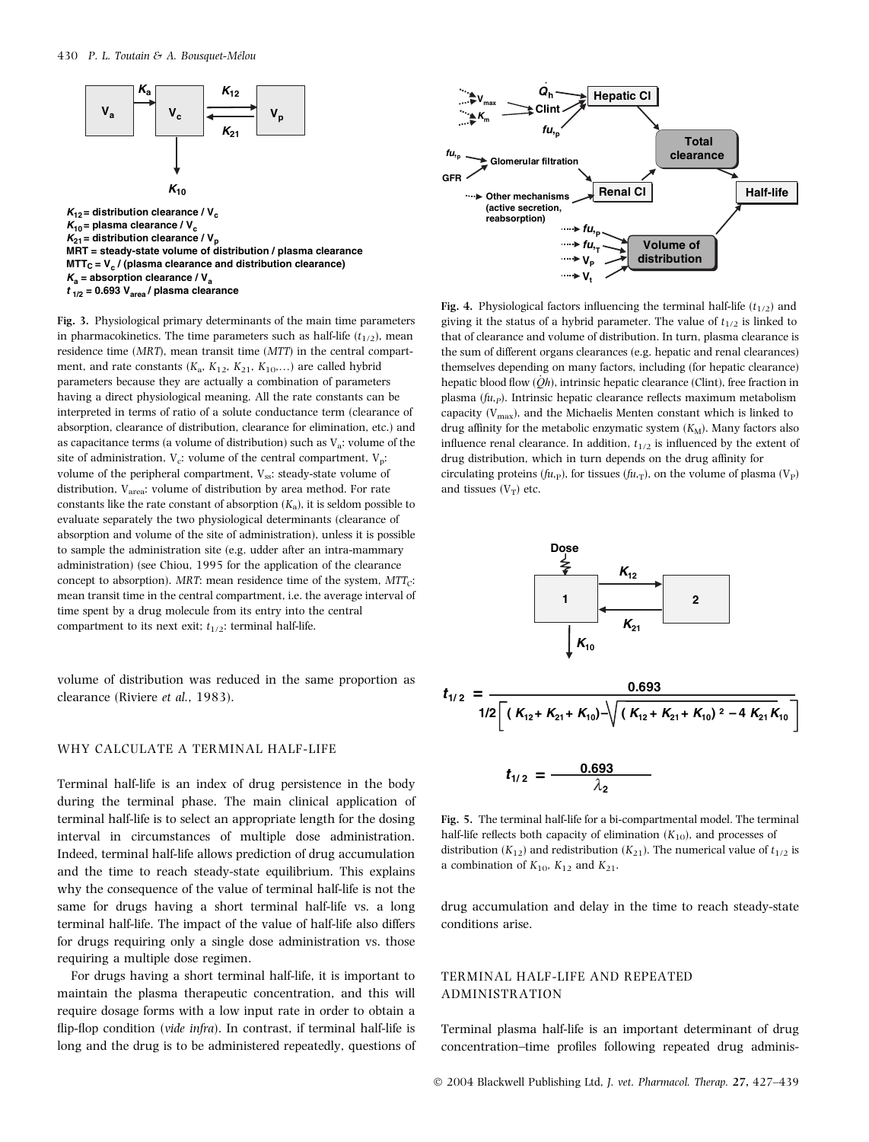

**MTT<sub>C</sub> = V<sub>c</sub> / (plasma clearance and distribution clearance)**  $K_a$  = absorption clearance /  $V_a$ 

*t* **1/2 = 0.693 Varea / plasma clearance**

Fig. 3. Physiological primary determinants of the main time parameters in pharmacokinetics. The time parameters such as half-life  $(t_{1/2})$ , mean residence time (MRT), mean transit time (MTT) in the central compartment, and rate constants  $(K_a, K_{12}, K_{21}, K_{10},...)$  are called hybrid parameters because they are actually a combination of parameters having a direct physiological meaning. All the rate constants can be interpreted in terms of ratio of a solute conductance term (clearance of absorption, clearance of distribution, clearance for elimination, etc.) and as capacitance terms (a volume of distribution) such as  $V_a$ : volume of the site of administration,  $V_c$ : volume of the central compartment,  $V_p$ : volume of the peripheral compartment,  $V_{ss}$ : steady-state volume of distribution, V<sub>area</sub>: volume of distribution by area method. For rate constants like the rate constant of absorption  $(K_a)$ , it is seldom possible to evaluate separately the two physiological determinants (clearance of absorption and volume of the site of administration), unless it is possible to sample the administration site (e.g. udder after an intra-mammary administration) (see Chiou, 1995 for the application of the clearance concept to absorption). MRT: mean residence time of the system,  $MTT_{C}$ : mean transit time in the central compartment, i.e. the average interval of time spent by a drug molecule from its entry into the central compartment to its next exit;  $t_{1/2}$ : terminal half-life.

volume of distribution was reduced in the same proportion as clearance (Riviere et al., 1983).

#### WHY CALCULATE A TERMINAL HALF-LIFE

Terminal half-life is an index of drug persistence in the body during the terminal phase. The main clinical application of terminal half-life is to select an appropriate length for the dosing interval in circumstances of multiple dose administration. Indeed, terminal half-life allows prediction of drug accumulation and the time to reach steady-state equilibrium. This explains why the consequence of the value of terminal half-life is not the same for drugs having a short terminal half-life vs. a long terminal half-life. The impact of the value of half-life also differs for drugs requiring only a single dose administration vs. those requiring a multiple dose regimen.

For drugs having a short terminal half-life, it is important to maintain the plasma therapeutic concentration, and this will require dosage forms with a low input rate in order to obtain a flip-flop condition (vide infra). In contrast, if terminal half-life is long and the drug is to be administered repeatedly, questions of



Fig. 4. Physiological factors influencing the terminal half-life  $(t_{1/2})$  and giving it the status of a hybrid parameter. The value of  $t_{1/2}$  is linked to that of clearance and volume of distribution. In turn, plasma clearance is the sum of different organs clearances (e.g. hepatic and renal clearances) themselves depending on many factors, including (for hepatic clearance) hepatic blood flow (*Qh*), intrinsic hepatic clearance (Clint), free fraction in plasma  $(fu, p)$ . Intrinsic hepatic clearance reflects maximum metabolism capacity  $(V_{\text{max}})$ , and the Michaelis Menten constant which is linked to drug affinity for the metabolic enzymatic system  $(K_M)$ . Many factors also influence renal clearance. In addition,  $t_{1/2}$  is influenced by the extent of drug distribution, which in turn depends on the drug affinity for circulating proteins ( $f(x, p)$ , for tissues ( $f(x, T)$ ), on the volume of plasma ( $V_p$ ) and tissues  $(V_T)$  etc.



Fig. 5. The terminal half-life for a bi-compartmental model. The terminal half-life reflects both capacity of elimination  $(K_{10})$ , and processes of distribution ( $K_{12}$ ) and redistribution ( $K_{21}$ ). The numerical value of  $t_{1/2}$  is a combination of  $K_{10}$ ,  $K_{12}$  and  $K_{21}$ .

drug accumulation and delay in the time to reach steady-state conditions arise.

#### TERMINAL HALF-LIFE AND REPEATED ADMINISTRATION

Terminal plasma half-life is an important determinant of drug concentration–time profiles following repeated drug adminis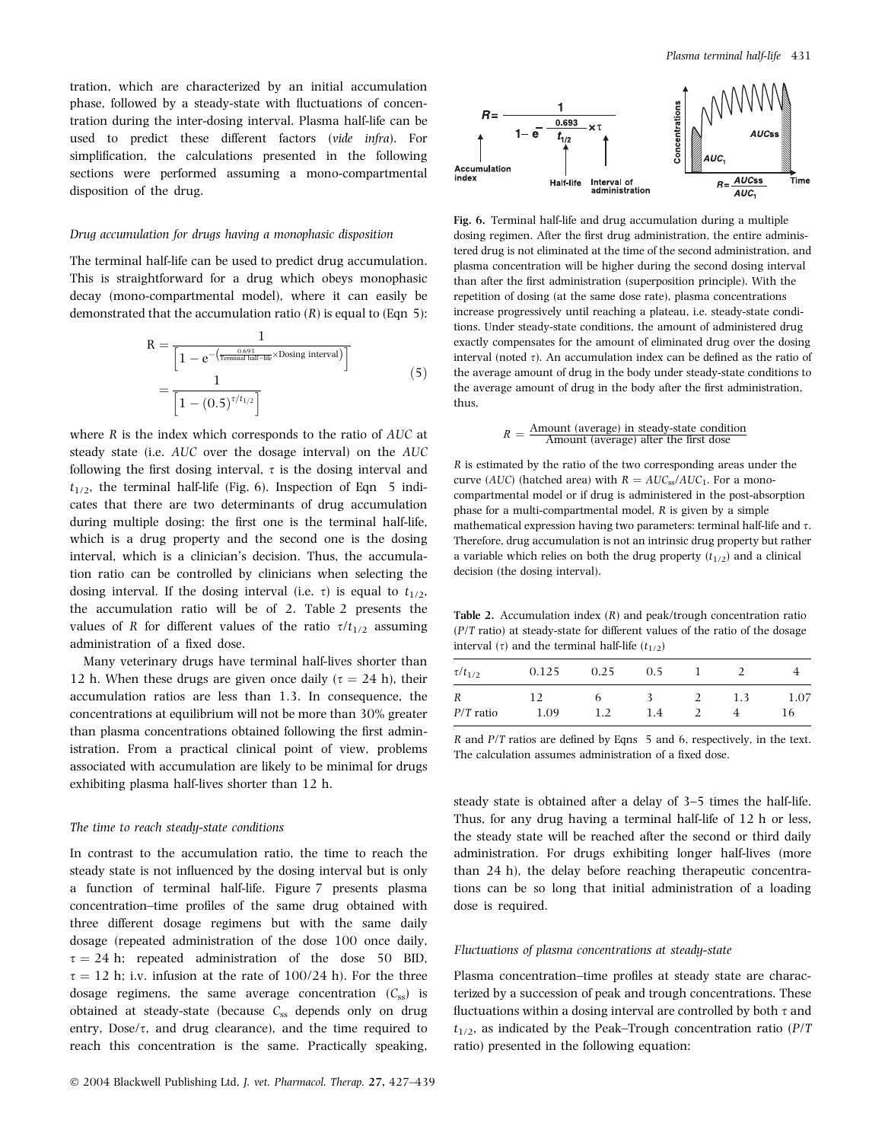tration, which are characterized by an initial accumulation phase, followed by a steady-state with fluctuations of concentration during the inter-dosing interval. Plasma half-life can be used to predict these different factors (vide infra). For simplification, the calculations presented in the following sections were performed assuming a mono-compartmental disposition of the drug.

#### Drug accumulation for drugs having a monophasic disposition

The terminal half-life can be used to predict drug accumulation. This is straightforward for a drug which obeys monophasic decay (mono-compartmental model), where it can easily be demonstrated that the accumulation ratio  $(R)$  is equal to (Eqn 5):

$$
R = \frac{1}{\left[1 - e^{-\left(\frac{0.693}{\text{Terminal half-IIIe}} \times \text{Dosing interval}\right)}\right]}
$$

$$
= \frac{1}{\left[1 - (0.5)^{\tau/t_{1/2}}\right]}
$$
(5)

where R is the index which corresponds to the ratio of AUC at steady state (i.e. AUC over the dosage interval) on the AUC following the first dosing interval,  $\tau$  is the dosing interval and  $t_{1/2}$ , the terminal half-life (Fig. 6). Inspection of Eqn 5 indicates that there are two determinants of drug accumulation during multiple dosing: the first one is the terminal half-life, which is a drug property and the second one is the dosing interval, which is a clinician's decision. Thus, the accumulation ratio can be controlled by clinicians when selecting the dosing interval. If the dosing interval (i.e.  $\tau$ ) is equal to  $t_{1/2}$ , the accumulation ratio will be of 2. Table 2 presents the values of R for different values of the ratio  $\tau/t_{1/2}$  assuming administration of a fixed dose.

Many veterinary drugs have terminal half-lives shorter than 12 h. When these drugs are given once daily ( $\tau = 24$  h), their accumulation ratios are less than 1.3. In consequence, the concentrations at equilibrium will not be more than 30% greater than plasma concentrations obtained following the first administration. From a practical clinical point of view, problems associated with accumulation are likely to be minimal for drugs exhibiting plasma half-lives shorter than 12 h.

#### The time to reach steady-state conditions

In contrast to the accumulation ratio, the time to reach the steady state is not influenced by the dosing interval but is only a function of terminal half-life. Figure 7 presents plasma concentration–time profiles of the same drug obtained with three different dosage regimens but with the same daily dosage (repeated administration of the dose 100 once daily,  $\tau = 24$  h; repeated administration of the dose 50 BID,  $\tau = 12$  h; i.v. infusion at the rate of 100/24 h). For the three dosage regimens, the same average concentration  $(C_{\infty})$  is obtained at steady-state (because  $C_{ss}$  depends only on drug entry, Dose/ $\tau$ , and drug clearance), and the time required to reach this concentration is the same. Practically speaking,



Fig. 6. Terminal half-life and drug accumulation during a multiple dosing regimen. After the first drug administration, the entire administered drug is not eliminated at the time of the second administration, and plasma concentration will be higher during the second dosing interval than after the first administration (superposition principle). With the repetition of dosing (at the same dose rate), plasma concentrations increase progressively until reaching a plateau, i.e. steady-state conditions. Under steady-state conditions, the amount of administered drug exactly compensates for the amount of eliminated drug over the dosing interval (noted  $\tau$ ). An accumulation index can be defined as the ratio of the average amount of drug in the body under steady-state conditions to the average amount of drug in the body after the first administration, thus,

$$
R = \frac{\text{Amount (average) in steady-state condition}}{\text{Amount (average) after the first dose}}
$$

R is estimated by the ratio of the two corresponding areas under the curve (AUC) (hatched area) with  $R = AUC_{ss}/AUC_1$ . For a monocompartmental model or if drug is administered in the post-absorption phase for a multi-compartmental model, R is given by a simple mathematical expression having two parameters: terminal half-life and  $\tau$ . Therefore, drug accumulation is not an intrinsic drug property but rather a variable which relies on both the drug property  $(t_{1/2})$  and a clinical decision (the dosing interval).

Table 2. Accumulation index  $(R)$  and peak/trough concentration ratio (P/T ratio) at steady-state for different values of the ratio of the dosage interval  $(\tau)$  and the terminal half-life  $(t_{1/2})$ 

| $\tau/t_{1/2}$ | 0.125 | 0.25 | 0.5 |     |      |
|----------------|-------|------|-----|-----|------|
| R              |       | h    |     | 1.3 | 1.07 |
| $P/T$ ratio    | 1.09  | 1.2  | 1.4 |     | 16   |

R and P/T ratios are defined by Eqns 5 and 6, respectively, in the text. The calculation assumes administration of a fixed dose.

steady state is obtained after a delay of 3–5 times the half-life. Thus, for any drug having a terminal half-life of 12 h or less, the steady state will be reached after the second or third daily administration. For drugs exhibiting longer half-lives (more than 24 h), the delay before reaching therapeutic concentrations can be so long that initial administration of a loading dose is required.

#### Fluctuations of plasma concentrations at steady-state

Plasma concentration–time profiles at steady state are characterized by a succession of peak and trough concentrations. These fluctuations within a dosing interval are controlled by both  $\tau$  and  $t_{1/2}$ , as indicated by the Peak–Trough concentration ratio (P/T) ratio) presented in the following equation: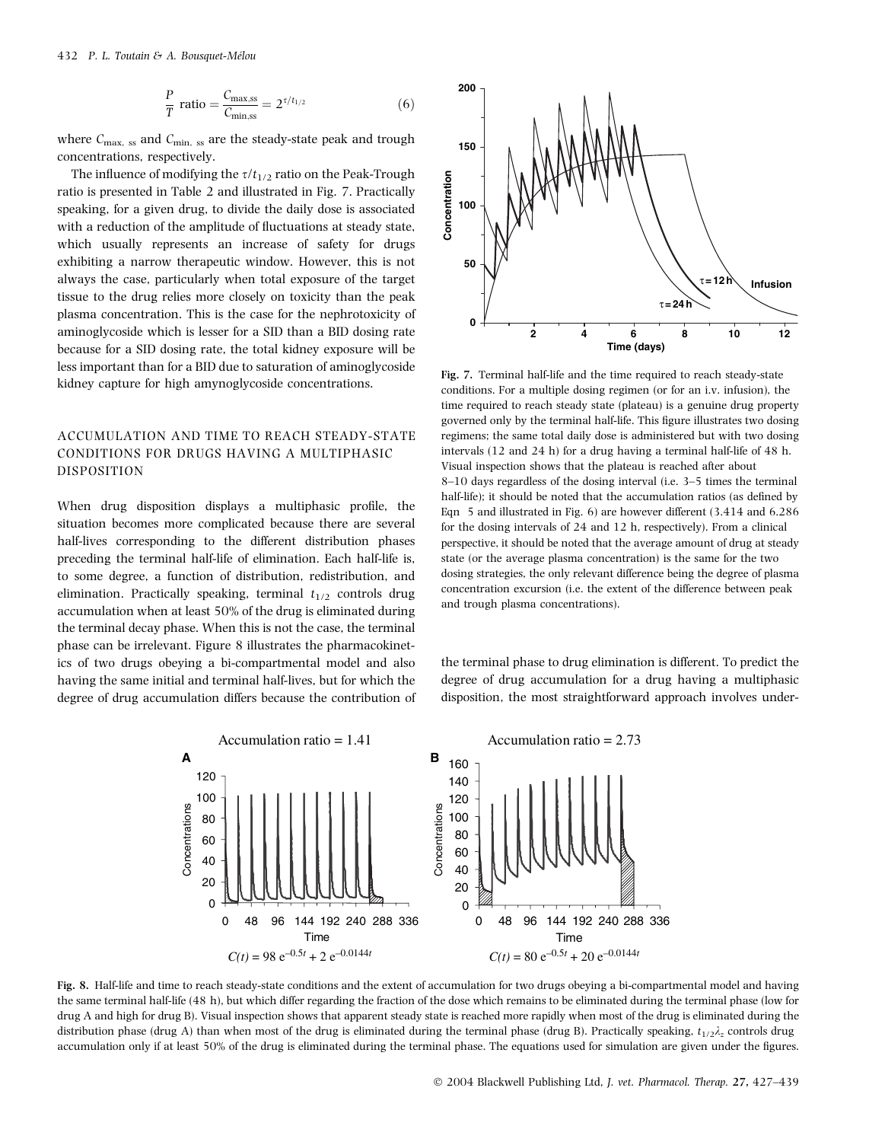$$
\frac{P}{T} \text{ ratio} = \frac{C_{\text{max,ss}}}{C_{\text{min,ss}}} = 2^{\tau/t_{1/2}} \tag{6}
$$

where  $C_{\text{max}}$ , ss and  $C_{\text{min}}$ , ss are the steady-state peak and trough concentrations, respectively.

The influence of modifying the  $\tau/t_{1/2}$  ratio on the Peak-Trough ratio is presented in Table 2 and illustrated in Fig. 7. Practically speaking, for a given drug, to divide the daily dose is associated with a reduction of the amplitude of fluctuations at steady state, which usually represents an increase of safety for drugs exhibiting a narrow therapeutic window. However, this is not always the case, particularly when total exposure of the target tissue to the drug relies more closely on toxicity than the peak plasma concentration. This is the case for the nephrotoxicity of aminoglycoside which is lesser for a SID than a BID dosing rate because for a SID dosing rate, the total kidney exposure will be less important than for a BID due to saturation of aminoglycoside kidney capture for high amynoglycoside concentrations.

# ACCUMULATION AND TIME TO REACH STEADY-STATE CONDITIONS FOR DRUGS HAVING A MULTIPHASIC DISPOSITION

When drug disposition displays a multiphasic profile, the situation becomes more complicated because there are several half-lives corresponding to the different distribution phases preceding the terminal half-life of elimination. Each half-life is, to some degree, a function of distribution, redistribution, and elimination. Practically speaking, terminal  $t_{1/2}$  controls drug accumulation when at least 50% of the drug is eliminated during the terminal decay phase. When this is not the case, the terminal phase can be irrelevant. Figure 8 illustrates the pharmacokinetics of two drugs obeying a bi-compartmental model and also having the same initial and terminal half-lives, but for which the degree of drug accumulation differs because the contribution of



Fig. 7. Terminal half-life and the time required to reach steady-state conditions. For a multiple dosing regimen (or for an i.v. infusion), the time required to reach steady state (plateau) is a genuine drug property governed only by the terminal half-life. This figure illustrates two dosing regimens; the same total daily dose is administered but with two dosing intervals (12 and 24 h) for a drug having a terminal half-life of 48 h. Visual inspection shows that the plateau is reached after about 8–10 days regardless of the dosing interval (i.e. 3–5 times the terminal half-life); it should be noted that the accumulation ratios (as defined by Eqn 5 and illustrated in Fig. 6) are however different (3.414 and 6.286 for the dosing intervals of 24 and 12 h, respectively). From a clinical perspective, it should be noted that the average amount of drug at steady state (or the average plasma concentration) is the same for the two dosing strategies, the only relevant difference being the degree of plasma concentration excursion (i.e. the extent of the difference between peak and trough plasma concentrations).

the terminal phase to drug elimination is different. To predict the degree of drug accumulation for a drug having a multiphasic disposition, the most straightforward approach involves under-



Fig. 8. Half-life and time to reach steady-state conditions and the extent of accumulation for two drugs obeying a bi-compartmental model and having the same terminal half-life (48 h), but which differ regarding the fraction of the dose which remains to be eliminated during the terminal phase (low for drug A and high for drug B). Visual inspection shows that apparent steady state is reached more rapidly when most of the drug is eliminated during the distribution phase (drug A) than when most of the drug is eliminated during the terminal phase (drug B). Practically speaking,  $t_{1/2} \lambda_z$  controls drug accumulation only if at least 50% of the drug is eliminated during the terminal phase. The equations used for simulation are given under the figures.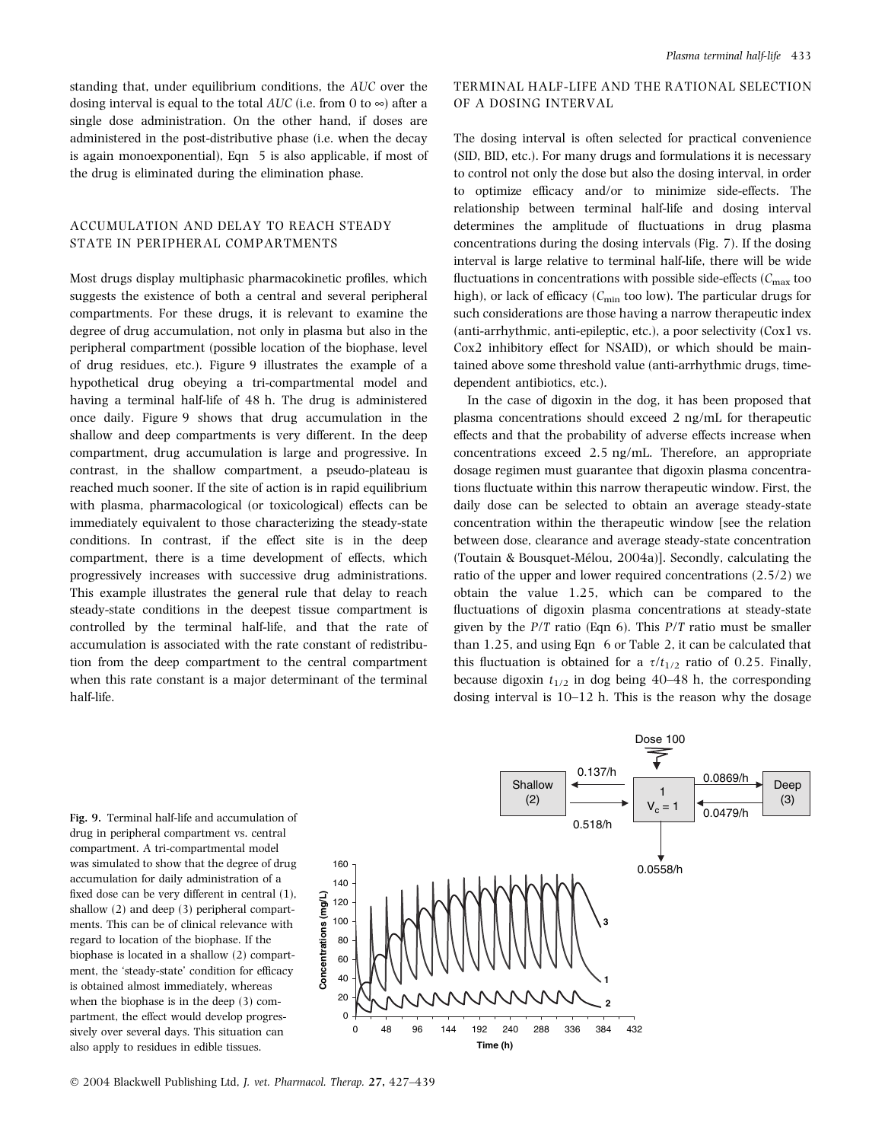standing that, under equilibrium conditions, the AUC over the dosing interval is equal to the total AUC (i.e. from 0 to  $\infty$ ) after a single dose administration. On the other hand, if doses are administered in the post-distributive phase (i.e. when the decay is again monoexponential), Eqn 5 is also applicable, if most of the drug is eliminated during the elimination phase.

### ACCUMULATION AND DELAY TO REACH STEADY STATE IN PERIPHERAL COMPARTMENTS

Most drugs display multiphasic pharmacokinetic profiles, which suggests the existence of both a central and several peripheral compartments. For these drugs, it is relevant to examine the degree of drug accumulation, not only in plasma but also in the peripheral compartment (possible location of the biophase, level of drug residues, etc.). Figure 9 illustrates the example of a hypothetical drug obeying a tri-compartmental model and having a terminal half-life of 48 h. The drug is administered once daily. Figure 9 shows that drug accumulation in the shallow and deep compartments is very different. In the deep compartment, drug accumulation is large and progressive. In contrast, in the shallow compartment, a pseudo-plateau is reached much sooner. If the site of action is in rapid equilibrium with plasma, pharmacological (or toxicological) effects can be immediately equivalent to those characterizing the steady-state conditions. In contrast, if the effect site is in the deep compartment, there is a time development of effects, which progressively increases with successive drug administrations. This example illustrates the general rule that delay to reach steady-state conditions in the deepest tissue compartment is controlled by the terminal half-life, and that the rate of accumulation is associated with the rate constant of redistribution from the deep compartment to the central compartment when this rate constant is a major determinant of the terminal half-life.

# TERMINAL HALF-LIFE AND THE RATIONAL SELECTION OF A DOSING INTERVAL

The dosing interval is often selected for practical convenience (SID, BID, etc.). For many drugs and formulations it is necessary to control not only the dose but also the dosing interval, in order to optimize efficacy and/or to minimize side-effects. The relationship between terminal half-life and dosing interval determines the amplitude of fluctuations in drug plasma concentrations during the dosing intervals (Fig. 7). If the dosing interval is large relative to terminal half-life, there will be wide fluctuations in concentrations with possible side-effects ( $C_{\text{max}}$  too high), or lack of efficacy ( $C_{\text{min}}$  too low). The particular drugs for such considerations are those having a narrow therapeutic index (anti-arrhythmic, anti-epileptic, etc.), a poor selectivity (Cox1 vs. Cox2 inhibitory effect for NSAID), or which should be maintained above some threshold value (anti-arrhythmic drugs, timedependent antibiotics, etc.).

In the case of digoxin in the dog, it has been proposed that plasma concentrations should exceed 2 ng/mL for therapeutic effects and that the probability of adverse effects increase when concentrations exceed 2.5 ng/mL. Therefore, an appropriate dosage regimen must guarantee that digoxin plasma concentrations fluctuate within this narrow therapeutic window. First, the daily dose can be selected to obtain an average steady-state concentration within the therapeutic window [see the relation between dose, clearance and average steady-state concentration (Toutain & Bousquet-Mélou, 2004a)]. Secondly, calculating the ratio of the upper and lower required concentrations (2.5/2) we obtain the value 1.25, which can be compared to the fluctuations of digoxin plasma concentrations at steady-state given by the  $P/T$  ratio (Eqn 6). This  $P/T$  ratio must be smaller than 1.25, and using Eqn 6 or Table 2, it can be calculated that this fluctuation is obtained for a  $\tau/t_{1/2}$  ratio of 0.25. Finally, because digoxin  $t_{1/2}$  in dog being 40–48 h, the corresponding dosing interval is 10–12 h. This is the reason why the dosage

Dose 100

Fig. 9. Terminal half-life and accumulation of drug in peripheral compartment vs. central compartment. A tri-compartmental model was simulated to show that the degree of drug accumulation for daily administration of a fixed dose can be very different in central (1), shallow (2) and deep (3) peripheral compartments. This can be of clinical relevance with regard to location of the biophase. If the biophase is located in a shallow (2) compartment, the 'steady-state' condition for efficacy is obtained almost immediately, whereas when the biophase is in the deep (3) compartment, the effect would develop progressively over several days. This situation can also apply to residues in edible tissues.

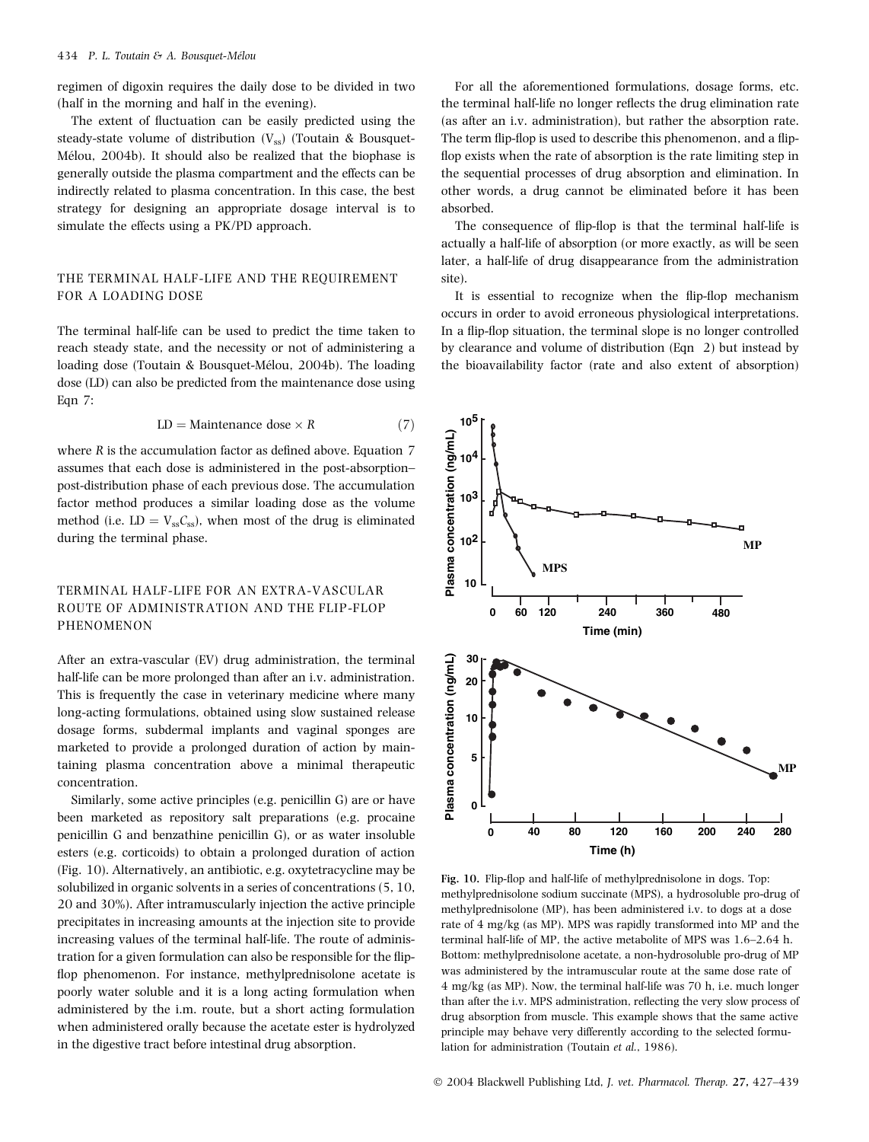#### 434 P. L. Toutain & A. Bousquet-Mélou

regimen of digoxin requires the daily dose to be divided in two (half in the morning and half in the evening).

The extent of fluctuation can be easily predicted using the steady-state volume of distribution  $(V_{\rm ss})$  (Toutain & Bousquet-Mélou, 2004b). It should also be realized that the biophase is generally outside the plasma compartment and the effects can be indirectly related to plasma concentration. In this case, the best strategy for designing an appropriate dosage interval is to simulate the effects using a PK/PD approach.

## THE TERMINAL HALF-LIFE AND THE REQUIREMENT FOR A LOADING DOSE

The terminal half-life can be used to predict the time taken to reach steady state, and the necessity or not of administering a loading dose (Toutain & Bousquet-Mélou, 2004b). The loading dose (LD) can also be predicted from the maintenance dose using Eqn 7:

$$
LD = Maintenance dose \times R
$$
 (7)

where R is the accumulation factor as defined above. Equation 7 assumes that each dose is administered in the post-absorption– post-distribution phase of each previous dose. The accumulation factor method produces a similar loading dose as the volume method (i.e.  $LD = V_{ss}C_{ss}$ ), when most of the drug is eliminated during the terminal phase.

## TERMINAL HALF-LIFE FOR AN EXTRA-VASCULAR ROUTE OF ADMINISTRATION AND THE FLIP-FLOP PHENOMENON

After an extra-vascular (EV) drug administration, the terminal half-life can be more prolonged than after an i.v. administration. This is frequently the case in veterinary medicine where many long-acting formulations, obtained using slow sustained release dosage forms, subdermal implants and vaginal sponges are marketed to provide a prolonged duration of action by maintaining plasma concentration above a minimal therapeutic concentration.

Similarly, some active principles (e.g. penicillin G) are or have been marketed as repository salt preparations (e.g. procaine penicillin G and benzathine penicillin G), or as water insoluble esters (e.g. corticoids) to obtain a prolonged duration of action (Fig. 10). Alternatively, an antibiotic, e.g. oxytetracycline may be solubilized in organic solvents in a series of concentrations (5, 10, 20 and 30%). After intramuscularly injection the active principle precipitates in increasing amounts at the injection site to provide increasing values of the terminal half-life. The route of administration for a given formulation can also be responsible for the flipflop phenomenon. For instance, methylprednisolone acetate is poorly water soluble and it is a long acting formulation when administered by the i.m. route, but a short acting formulation when administered orally because the acetate ester is hydrolyzed in the digestive tract before intestinal drug absorption.

For all the aforementioned formulations, dosage forms, etc. the terminal half-life no longer reflects the drug elimination rate (as after an i.v. administration), but rather the absorption rate. The term flip-flop is used to describe this phenomenon, and a flipflop exists when the rate of absorption is the rate limiting step in the sequential processes of drug absorption and elimination. In other words, a drug cannot be eliminated before it has been absorbed.

The consequence of flip-flop is that the terminal half-life is actually a half-life of absorption (or more exactly, as will be seen later, a half-life of drug disappearance from the administration site).

It is essential to recognize when the flip-flop mechanism occurs in order to avoid erroneous physiological interpretations. In a flip-flop situation, the terminal slope is no longer controlled by clearance and volume of distribution (Eqn 2) but instead by the bioavailability factor (rate and also extent of absorption)



Fig. 10. Flip-flop and half-life of methylprednisolone in dogs. Top: methylprednisolone sodium succinate (MPS), a hydrosoluble pro-drug of methylprednisolone (MP), has been administered i.v. to dogs at a dose rate of 4 mg/kg (as MP). MPS was rapidly transformed into MP and the terminal half-life of MP, the active metabolite of MPS was 1.6–2.64 h. Bottom: methylprednisolone acetate, a non-hydrosoluble pro-drug of MP was administered by the intramuscular route at the same dose rate of 4 mg/kg (as MP). Now, the terminal half-life was 70 h, i.e. much longer than after the i.v. MPS administration, reflecting the very slow process of drug absorption from muscle. This example shows that the same active principle may behave very differently according to the selected formulation for administration (Toutain et al., 1986).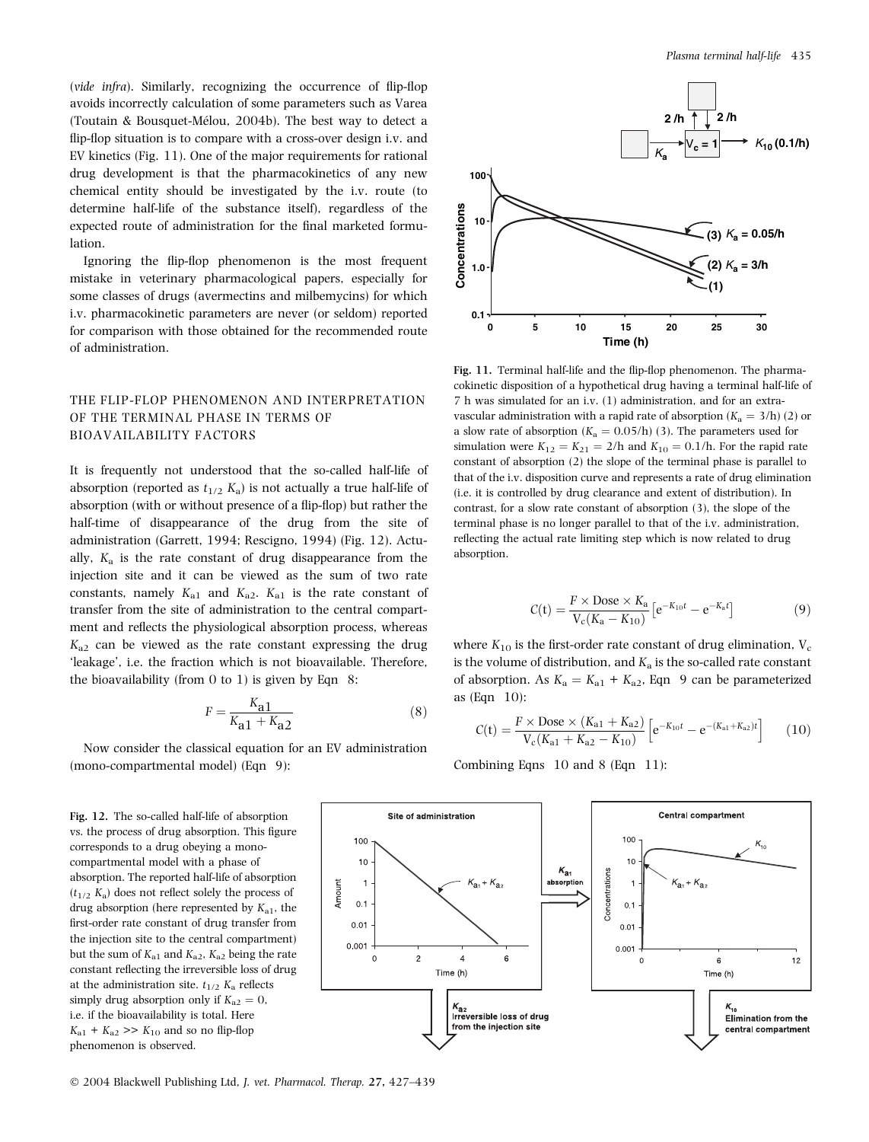(vide infra). Similarly, recognizing the occurrence of flip-flop avoids incorrectly calculation of some parameters such as Varea (Toutain & Bousquet-Mélou, 2004b). The best way to detect a flip-flop situation is to compare with a cross-over design i.v. and EV kinetics (Fig. 11). One of the major requirements for rational drug development is that the pharmacokinetics of any new chemical entity should be investigated by the i.v. route (to determine half-life of the substance itself), regardless of the expected route of administration for the final marketed formulation.

Ignoring the flip-flop phenomenon is the most frequent mistake in veterinary pharmacological papers, especially for some classes of drugs (avermectins and milbemycins) for which i.v. pharmacokinetic parameters are never (or seldom) reported for comparison with those obtained for the recommended route of administration.

## THE FLIP-FLOP PHENOMENON AND INTERPRETATION OF THE TERMINAL PHASE IN TERMS OF BIOAVAILABILITY FACTORS

It is frequently not understood that the so-called half-life of absorption (reported as  $t_{1/2}$  K<sub>a</sub>) is not actually a true half-life of absorption (with or without presence of a flip-flop) but rather the half-time of disappearance of the drug from the site of administration (Garrett, 1994; Rescigno, 1994) (Fig. 12). Actually,  $K_a$  is the rate constant of drug disappearance from the injection site and it can be viewed as the sum of two rate constants, namely  $K_{a1}$  and  $K_{a2}$ .  $K_{a1}$  is the rate constant of transfer from the site of administration to the central compartment and reflects the physiological absorption process, whereas  $K_{a2}$  can be viewed as the rate constant expressing the drug 'leakage', i.e. the fraction which is not bioavailable. Therefore, the bioavailability (from  $0$  to  $1$ ) is given by Eqn  $8$ :

$$
F = \frac{K_{a1}}{K_{a1} + K_{a2}}\tag{8}
$$

Now consider the classical equation for an EV administration (mono-compartmental model) (Eqn 9):

Fig. 12. The so-called half-life of absorption vs. the process of drug absorption. This figure corresponds to a drug obeying a monocompartmental model with a phase of absorption. The reported half-life of absorption  $(t_{1/2} K_a)$  does not reflect solely the process of drug absorption (here represented by  $K_{a1}$ , the first-order rate constant of drug transfer from the injection site to the central compartment) but the sum of  $K_{a1}$  and  $K_{a2}$ ,  $K_{a2}$  being the rate constant reflecting the irreversible loss of drug at the administration site.  $t_{1/2}$  K<sub>a</sub> reflects simply drug absorption only if  $K_{a2} = 0$ , i.e. if the bioavailability is total. Here  $K_{a1} + K_{a2} >> K_{10}$  and so no flip-flop phenomenon is observed.



Fig. 11. Terminal half-life and the flip-flop phenomenon. The pharmacokinetic disposition of a hypothetical drug having a terminal half-life of 7 h was simulated for an i.v. (1) administration, and for an extravascular administration with a rapid rate of absorption  $(K_a = 3/h)$  (2) or a slow rate of absorption ( $K_a = 0.05/h$ ) (3). The parameters used for simulation were  $K_{12} = K_{21} = 2/h$  and  $K_{10} = 0.1/h$ . For the rapid rate constant of absorption (2) the slope of the terminal phase is parallel to that of the i.v. disposition curve and represents a rate of drug elimination (i.e. it is controlled by drug clearance and extent of distribution). In contrast, for a slow rate constant of absorption (3), the slope of the terminal phase is no longer parallel to that of the i.v. administration, reflecting the actual rate limiting step which is now related to drug absorption.

$$
C(t) = \frac{F \times \text{Dose} \times K_a}{V_c(K_a - K_{10})} \left[ e^{-K_{10}t} - e^{-K_a t} \right]
$$
(9)

where  $K_{10}$  is the first-order rate constant of drug elimination,  $V_c$ is the volume of distribution, and  $K_a$  is the so-called rate constant of absorption. As  $K_a = K_{a1} + K_{a2}$ , Eqn 9 can be parameterized as (Eqn 10):

$$
C(t) = \frac{F \times \text{Dose} \times (K_{a1} + K_{a2})}{V_c(K_{a1} + K_{a2} - K_{10})} \left[ e^{-K_{10}t} - e^{-(K_{a1} + K_{a2})t} \right]
$$
(10)

Combining Eqns 10 and 8 (Eqn 11):

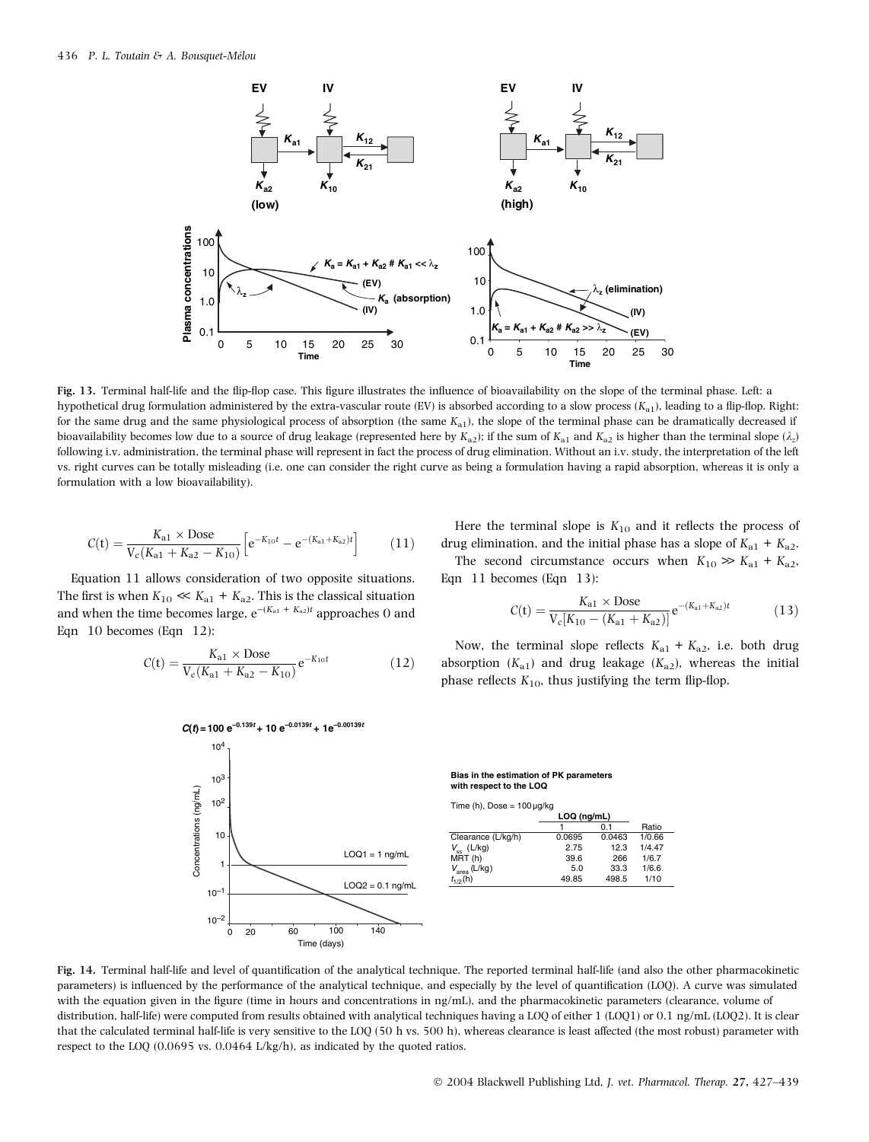

Fig. 13. Terminal half-life and the flip-flop case. This figure illustrates the influence of bioavailability on the slope of the terminal phase. Left: a hypothetical drug formulation administered by the extra-vascular route (EV) is absorbed according to a slow process  $(K_{a1})$ , leading to a flip-flop. Right: for the same drug and the same physiological process of absorption (the same  $K_{a1}$ ), the slope of the terminal phase can be dramatically decreased if bioavailability becomes low due to a source of drug leakage (represented here by  $K_{a2}$ ); if the sum of  $K_{a1}$  and  $K_{a2}$  is higher than the terminal slope ( $\lambda_z$ ) following i.v. administration, the terminal phase will represent in fact the process of drug elimination. Without an i.v. study, the interpretation of the left vs. right curves can be totally misleading (i.e. one can consider the right curve as being a formulation having a rapid absorption, whereas it is only a formulation with a low bioavailability).

$$
C(t) = \frac{K_{a1} \times \text{Dose}}{V_c(K_{a1} + K_{a2} - K_{10})} \left[ e^{-K_{10}t} - e^{-(K_{a1} + K_{a2})t} \right]
$$
(11)

Equation 11 allows consideration of two opposite situations. The first is when  $K_{10} \ll K_{a1} + K_{a2}$ . This is the classical situation and when the time becomes large,  $e^{-(K_{a1} + K_{a2})t}$  approaches 0 and Eqn 10 becomes (Eqn 12):

$$
C(t) = \frac{K_{a1} \times \text{Dose}}{V_c(K_{a1} + K_{a2} - K_{10})} e^{-K_{10}t}
$$
\n(12)

Here the terminal slope is  $K_{10}$  and it reflects the process of drug elimination, and the initial phase has a slope of  $K_{a1} + K_{a2}$ .

The second circumstance occurs when  $K_{10} \gg K_{a1} + K_{a2}$ , Eqn 11 becomes (Eqn 13):

$$
C(t) = \frac{K_{a1} \times \text{Dose}}{V_c[K_{10} - (K_{a1} + K_{a2})]} e^{-(K_{a1} + K_{a2})t}
$$
(13)

Now, the terminal slope reflects  $K_{a1} + K_{a2}$ , i.e. both drug absorption  $(K_{a1})$  and drug leakage  $(K_{a2})$ , whereas the initial phase reflects  $K_{10}$ , thus justifying the term flip-flop.



 $C(t) = 100 e^{-0.139t} + 10 e^{-0.0139t} + 1 e^{-0.00139t}$ 

**Bias in the estimation of PK parameters with respect to the LOQ**

| Time (h), Dose = $100 \mu q/kg$ |               |        |        |
|---------------------------------|---------------|--------|--------|
|                                 | $LOQ$ (ng/mL) |        |        |
|                                 |               | 0 1    | Ratio  |
| Clearance (L/kg/h)              | 0.0695        | 0.0463 | 1/0.66 |
| (L/kg)                          | 2.75          | 12.3   | 1/4.47 |
| MRT (h)                         | 39.6          | 266    | 1/6.7  |
| $V_{\text{area}}$ (L/kg)        | 5.0           | 33.3   | 1/6.6  |
| $t_{1/2}$ (h)                   | 49.85         | 498.5  | 1/10   |

Fig. 14. Terminal half-life and level of quantification of the analytical technique. The reported terminal half-life (and also the other pharmacokinetic parameters) is influenced by the performance of the analytical technique, and especially by the level of quantification (LOQ). A curve was simulated with the equation given in the figure (time in hours and concentrations in  $\eta/mL$ ), and the pharmacokinetic parameters (clearance, volume of distribution, half-life) were computed from results obtained with analytical techniques having a LOQ of either 1 (LOQ1) or 0.1 ng/mL (LOQ2). It is clear that the calculated terminal half-life is very sensitive to the LOQ (50 h vs. 500 h), whereas clearance is least affected (the most robust) parameter with respect to the LOQ (0.0695 vs. 0.0464 L/kg/h), as indicated by the quoted ratios.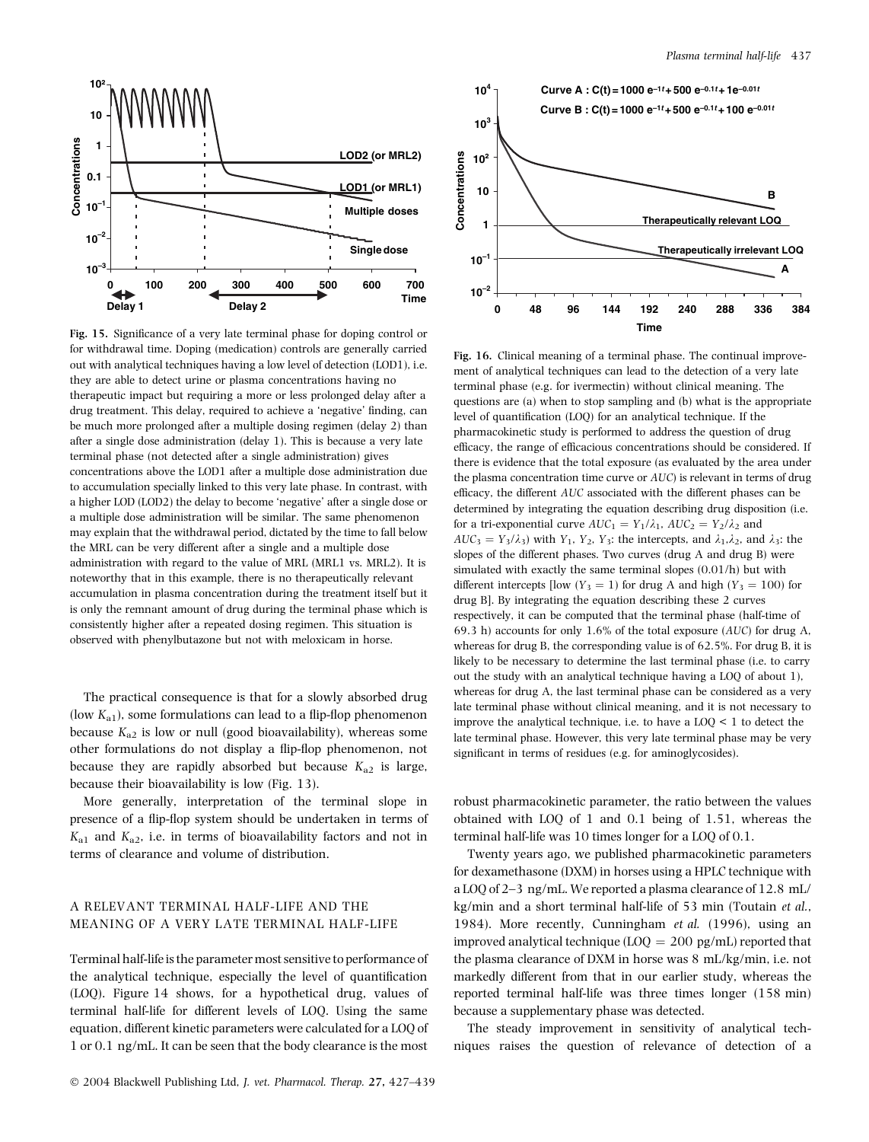

Fig. 15. Significance of a very late terminal phase for doping control or for withdrawal time. Doping (medication) controls are generally carried out with analytical techniques having a low level of detection (LOD1), i.e. they are able to detect urine or plasma concentrations having no therapeutic impact but requiring a more or less prolonged delay after a drug treatment. This delay, required to achieve a 'negative' finding, can be much more prolonged after a multiple dosing regimen (delay 2) than after a single dose administration (delay 1). This is because a very late terminal phase (not detected after a single administration) gives concentrations above the LOD1 after a multiple dose administration due to accumulation specially linked to this very late phase. In contrast, with a higher LOD (LOD2) the delay to become 'negative' after a single dose or a multiple dose administration will be similar. The same phenomenon may explain that the withdrawal period, dictated by the time to fall below the MRL can be very different after a single and a multiple dose administration with regard to the value of MRL (MRL1 vs. MRL2). It is noteworthy that in this example, there is no therapeutically relevant accumulation in plasma concentration during the treatment itself but it is only the remnant amount of drug during the terminal phase which is consistently higher after a repeated dosing regimen. This situation is observed with phenylbutazone but not with meloxicam in horse.

The practical consequence is that for a slowly absorbed drug (low  $K_{a1}$ ), some formulations can lead to a flip-flop phenomenon because  $K_{a2}$  is low or null (good bioavailability), whereas some other formulations do not display a flip-flop phenomenon, not because they are rapidly absorbed but because  $K_{a2}$  is large, because their bioavailability is low (Fig. 13).

More generally, interpretation of the terminal slope in presence of a flip-flop system should be undertaken in terms of  $K_{a1}$  and  $K_{a2}$ , i.e. in terms of bioavailability factors and not in terms of clearance and volume of distribution.

### A RELEVANT TERMINAL HALF-LIFE AND THE MEANING OF A VERY LATE TERMINAL HALF-LIFE

Terminal half-life is the parameter most sensitive to performance of the analytical technique, especially the level of quantification (LOQ). Figure 14 shows, for a hypothetical drug, values of terminal half-life for different levels of LOQ. Using the same equation, different kinetic parameters were calculated for a LOQ of 1 or 0.1 ng/mL. It can be seen that the body clearance is the most



Fig. 16. Clinical meaning of a terminal phase. The continual improvement of analytical techniques can lead to the detection of a very late terminal phase (e.g. for ivermectin) without clinical meaning. The questions are (a) when to stop sampling and (b) what is the appropriate level of quantification (LOQ) for an analytical technique. If the pharmacokinetic study is performed to address the question of drug efficacy, the range of efficacious concentrations should be considered. If there is evidence that the total exposure (as evaluated by the area under the plasma concentration time curve or AUC) is relevant in terms of drug efficacy, the different AUC associated with the different phases can be determined by integrating the equation describing drug disposition (i.e. for a tri-exponential curve  $AUC_1 = Y_1/\lambda_1$ ,  $AUC_2 = Y_2/\lambda_2$  and  $AUC_3 = Y_3/\lambda_3$ ) with  $Y_1$ ,  $Y_2$ ,  $Y_3$ : the intercepts, and  $\lambda_1, \lambda_2$ , and  $\lambda_3$ : the slopes of the different phases. Two curves (drug A and drug B) were simulated with exactly the same terminal slopes (0.01/h) but with different intercepts [low  $(Y_3 = 1)$  for drug A and high  $(Y_3 = 100)$  for drug B]. By integrating the equation describing these 2 curves respectively, it can be computed that the terminal phase (half-time of 69.3 h) accounts for only  $1.6\%$  of the total exposure (AUC) for drug A, whereas for drug B, the corresponding value is of 62.5%. For drug B, it is likely to be necessary to determine the last terminal phase (i.e. to carry out the study with an analytical technique having a LOQ of about 1), whereas for drug A, the last terminal phase can be considered as a very late terminal phase without clinical meaning, and it is not necessary to improve the analytical technique, i.e. to have a  $LOO \leq 1$  to detect the late terminal phase. However, this very late terminal phase may be very significant in terms of residues (e.g. for aminoglycosides).

robust pharmacokinetic parameter, the ratio between the values obtained with LOQ of 1 and 0.1 being of 1.51, whereas the terminal half-life was 10 times longer for a LOQ of 0.1.

Twenty years ago, we published pharmacokinetic parameters for dexamethasone (DXM) in horses using a HPLC technique with a LOQ of 2–3 ng/mL. We reported a plasma clearance of 12.8 mL/ kg/min and a short terminal half-life of 53 min (Toutain et al., 1984). More recently, Cunningham et al. (1996), using an improved analytical technique ( $LOQ = 200$  pg/mL) reported that the plasma clearance of DXM in horse was 8 mL/kg/min, i.e. not markedly different from that in our earlier study, whereas the reported terminal half-life was three times longer (158 min) because a supplementary phase was detected.

The steady improvement in sensitivity of analytical techniques raises the question of relevance of detection of a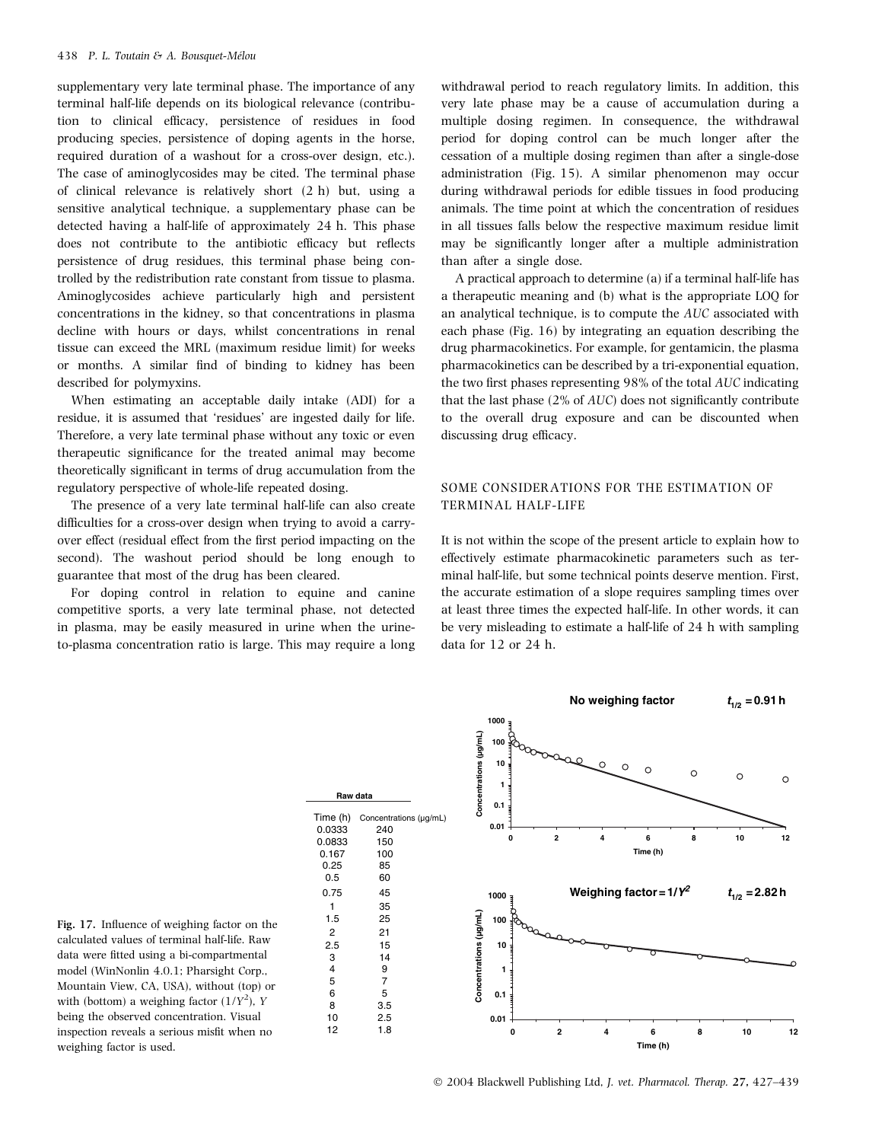supplementary very late terminal phase. The importance of any terminal half-life depends on its biological relevance (contribution to clinical efficacy, persistence of residues in food producing species, persistence of doping agents in the horse, required duration of a washout for a cross-over design, etc.). The case of aminoglycosides may be cited. The terminal phase of clinical relevance is relatively short (2 h) but, using a sensitive analytical technique, a supplementary phase can be detected having a half-life of approximately 24 h. This phase does not contribute to the antibiotic efficacy but reflects persistence of drug residues, this terminal phase being controlled by the redistribution rate constant from tissue to plasma. Aminoglycosides achieve particularly high and persistent concentrations in the kidney, so that concentrations in plasma decline with hours or days, whilst concentrations in renal tissue can exceed the MRL (maximum residue limit) for weeks or months. A similar find of binding to kidney has been described for polymyxins.

When estimating an acceptable daily intake (ADI) for a residue, it is assumed that 'residues' are ingested daily for life. Therefore, a very late terminal phase without any toxic or even therapeutic significance for the treated animal may become theoretically significant in terms of drug accumulation from the regulatory perspective of whole-life repeated dosing.

The presence of a very late terminal half-life can also create difficulties for a cross-over design when trying to avoid a carryover effect (residual effect from the first period impacting on the second). The washout period should be long enough to guarantee that most of the drug has been cleared.

For doping control in relation to equine and canine competitive sports, a very late terminal phase, not detected in plasma, may be easily measured in urine when the urineto-plasma concentration ratio is large. This may require a long

withdrawal period to reach regulatory limits. In addition, this very late phase may be a cause of accumulation during a multiple dosing regimen. In consequence, the withdrawal period for doping control can be much longer after the cessation of a multiple dosing regimen than after a single-dose administration (Fig. 15). A similar phenomenon may occur during withdrawal periods for edible tissues in food producing animals. The time point at which the concentration of residues in all tissues falls below the respective maximum residue limit may be significantly longer after a multiple administration than after a single dose.

A practical approach to determine (a) if a terminal half-life has a therapeutic meaning and (b) what is the appropriate LOQ for an analytical technique, is to compute the AUC associated with each phase (Fig. 16) by integrating an equation describing the drug pharmacokinetics. For example, for gentamicin, the plasma pharmacokinetics can be described by a tri-exponential equation, the two first phases representing 98% of the total AUC indicating that the last phase (2% of AUC) does not significantly contribute to the overall drug exposure and can be discounted when discussing drug efficacy.

## SOME CONSIDERATIONS FOR THE ESTIMATION OF TERMINAL HALF-LIFE

It is not within the scope of the present article to explain how to effectively estimate pharmacokinetic parameters such as terminal half-life, but some technical points deserve mention. First, the accurate estimation of a slope requires sampling times over at least three times the expected half-life. In other words, it can be very misleading to estimate a half-life of 24 h with sampling data for 12 or 24 h.



Fig. 17. Influence of weighing factor on the calculated values of terminal half-life. Raw data were fitted using a bi-compartmental model (WinNonlin 4.0.1; Pharsight Corp., Mountain View, CA, USA), without (top) or with (bottom) a weighing factor  $(1/Y^2)$ , Y being the observed concentration. Visual inspection reveals a serious misfit when no weighing factor is used.